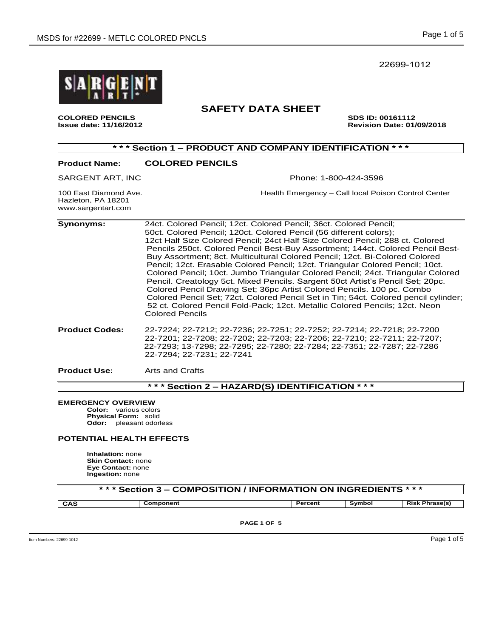22699-1012



**COLORED PENCILS SDS ID: 00161112**

# **SAFETY DATA SHEET**

**Issue date: 11/16/2012 Revision Date: 01/09/2018** 

| *** Section 1 - PRODUCT AND COMPANY IDENTIFICATION<br>* * *       |                                                                                                                                                                                                                                                                                                                                                                                                                                                                                                                                                                                                                                                                                                                                                                                                                                                                                                                           |  |  |  |
|-------------------------------------------------------------------|---------------------------------------------------------------------------------------------------------------------------------------------------------------------------------------------------------------------------------------------------------------------------------------------------------------------------------------------------------------------------------------------------------------------------------------------------------------------------------------------------------------------------------------------------------------------------------------------------------------------------------------------------------------------------------------------------------------------------------------------------------------------------------------------------------------------------------------------------------------------------------------------------------------------------|--|--|--|
| <b>Product Name:</b>                                              | <b>COLORED PENCILS</b>                                                                                                                                                                                                                                                                                                                                                                                                                                                                                                                                                                                                                                                                                                                                                                                                                                                                                                    |  |  |  |
| SARGENT ART, INC                                                  | Phone: 1-800-424-3596                                                                                                                                                                                                                                                                                                                                                                                                                                                                                                                                                                                                                                                                                                                                                                                                                                                                                                     |  |  |  |
| 100 East Diamond Ave.<br>Hazleton, PA 18201<br>www.sargentart.com | Health Emergency - Call local Poison Control Center                                                                                                                                                                                                                                                                                                                                                                                                                                                                                                                                                                                                                                                                                                                                                                                                                                                                       |  |  |  |
| <b>Synonyms:</b>                                                  | 24ct. Colored Pencil; 12ct. Colored Pencil; 36ct. Colored Pencil;<br>50ct. Colored Pencil; 120ct. Colored Pencil (56 different colors);<br>12ct Half Size Colored Pencil; 24ct Half Size Colored Pencil; 288 ct. Colored<br>Pencils 250ct. Colored Pencil Best-Buy Assortment; 144ct. Colored Pencil Best-<br>Buy Assortment; 8ct. Multicultural Colored Pencil; 12ct. Bi-Colored Colored<br>Pencil; 12ct. Erasable Colored Pencil; 12ct. Triangular Colored Pencil; 10ct.<br>Colored Pencil; 10ct. Jumbo Triangular Colored Pencil; 24ct. Triangular Colored<br>Pencil. Creatology 5ct. Mixed Pencils. Sargent 50ct Artist's Pencil Set; 20pc.<br>Colored Pencil Drawing Set; 36pc Artist Colored Pencils. 100 pc. Combo<br>Colored Pencil Set; 72ct. Colored Pencil Set in Tin; 54ct. Colored pencil cylinder;<br>52 ct. Colored Pencil Fold-Pack; 12ct. Metallic Colored Pencils; 12ct. Neon<br><b>Colored Pencils</b> |  |  |  |
| <b>Product Codes:</b>                                             | 22-7224; 22-7212; 22-7236; 22-7251; 22-7252; 22-7214; 22-7218; 22-7200<br>22-7201; 22-7208; 22-7202; 22-7203; 22-7206; 22-7210; 22-7211; 22-7207;<br>22-7293; 13-7298; 22-7295; 22-7280; 22-7284; 22-7351; 22-7287; 22-7286<br>22-7294: 22-7231: 22-7241                                                                                                                                                                                                                                                                                                                                                                                                                                                                                                                                                                                                                                                                  |  |  |  |
| <b>Product Use:</b>                                               | Arts and Crafts                                                                                                                                                                                                                                                                                                                                                                                                                                                                                                                                                                                                                                                                                                                                                                                                                                                                                                           |  |  |  |

**\* \* \* Section 2 – HAZARD(S) IDENTIFICATION \* \* \***

### **EMERGENCY OVERVIEW**

**Color:** various colors **Physical Form:** solid **Odor:** pleasant odorless

## **POTENTIAL HEALTH EFFECTS**

**Inhalation:** none **Skin Contact:** none **Eye Contact:** none **Ingestion:** none

# **\* \* \* Section 3 – COMPOSITION / INFORMATION ON INGREDIENTS \* \* \***

**CAS Component Percent Symbol Risk Phrase(s)**

**PAGE 1 OF 5**

 $\blacksquare$  Item Numbers: 22699-1012  $\blacksquare$   $\blacksquare$   $\blacksquare$   $\blacksquare$   $\blacksquare$   $\blacksquare$   $\blacksquare$   $\blacksquare$   $\blacksquare$   $\blacksquare$   $\blacksquare$   $\blacksquare$   $\blacksquare$   $\blacksquare$   $\blacksquare$   $\blacksquare$   $\blacksquare$   $\blacksquare$   $\blacksquare$   $\blacksquare$   $\blacksquare$   $\blacksquare$   $\blacksquare$   $\blacksquare$   $\blacksquare$   $\blacksquare$   $\blacksquare$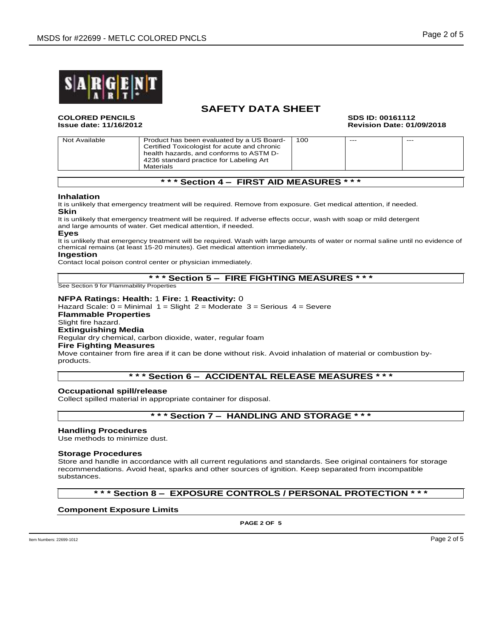

# **SAFETY DATA SHEET**

**COLORED PENCILS SDS ID: 00161112**

**Issue date: 11/16/2012 Revision Date: 01/09/2018**

| Not Available | Product has been evaluated by a US Board-<br>Certified Toxicologist for acute and chronic<br>health hazards, and conforms to ASTM D-<br>4236 standard practice for Labeling Art<br>Materials | 100 | $---$ | $---$ |
|---------------|----------------------------------------------------------------------------------------------------------------------------------------------------------------------------------------------|-----|-------|-------|

# **\* \* \* Section 4 – FIRST AID MEASURES \* \* \***

### **Inhalation**

It is unlikely that emergency treatment will be required. Remove from exposure. Get medical attention, if needed. **Skin**

It is unlikely that emergency treatment will be required. If adverse effects occur, wash with soap or mild detergent and large amounts of water. Get medical attention, if needed.

**Eyes**

It is unlikely that emergency treatment will be required. Wash with large amounts of water or normal saline until no evidence of chemical remains (at least 15-20 minutes). Get medical attention immediately.

#### **Ingestion**

Contact local poison control center or physician immediately.

### **\* \* \* Section 5 – FIRE FIGHTING MEASURES \* \* \***

See Section 9 for Flammability Properties

### **NFPA Ratings: Health:** 1 **Fire:** 1 **Reactivity:** 0

Hazard Scale:  $0 =$  Minimal 1 = Slight 2 = Moderate 3 = Serious 4 = Severe

## **Flammable Properties**

Slight fire hazard.

# **Extinguishing Media**

Regular dry chemical, carbon dioxide, water, regular foam

#### **Fire Fighting Measures**

Move container from fire area if it can be done without risk. Avoid inhalation of material or combustion byproducts.

# **\* \* \* Section 6 – ACCIDENTAL RELEASE MEASURES \* \* \***

#### **Occupational spill/release**

Collect spilled material in appropriate container for disposal.

**\* \* \* Section 7 – HANDLING AND STORAGE \* \* \***

#### **Handling Procedures**

Use methods to minimize dust.

#### **Storage Procedures**

Store and handle in accordance with all current regulations and standards. See original containers for storage recommendations. Avoid heat, sparks and other sources of ignition. Keep separated from incompatible substances.

# **\* \* \* Section 8 – EXPOSURE CONTROLS / PERSONAL PROTECTION \* \* \***

**Component Exposure Limits**

**PAGE 2 OF 5**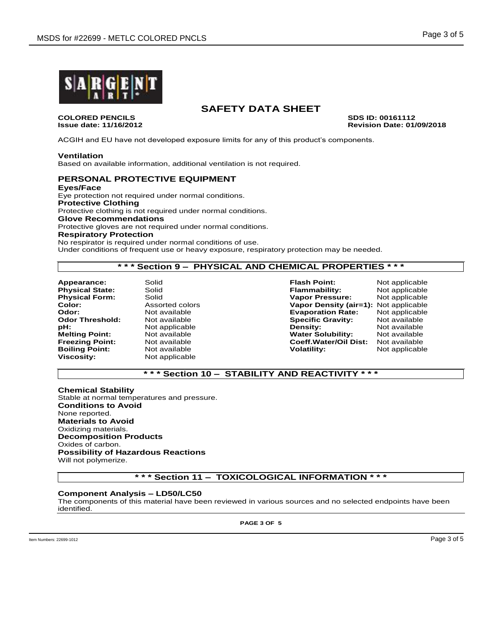

**COLORED PENCILS SDS ID: 00161112**

# **SAFETY DATA SHEET**

**Issue date: 11/16/2012 Revision Date: 01/09/2018**

ACGIH and EU have not developed exposure limits for any of this product's components.

### **Ventilation**

Based on available information, additional ventilation is not required.

## **PERSONAL PROTECTIVE EQUIPMENT**

**Eyes/Face** Eye protection not required under normal conditions. **Protective Clothing** Protective clothing is not required under normal conditions. **Glove Recommendations** Protective gloves are not required under normal conditions. **Respiratory Protection** No respirator is required under normal conditions of use.

Under conditions of frequent use or heavy exposure, respiratory protection may be needed.

# **\* \* \* Section 9 – PHYSICAL AND CHEMICAL PROPERTIES \* \* \***

**Appearance:** Solid **Flash Point:** Not applicable **Physical Form:** Solid **Vapor Pressure:** National Books of Assorted colors<br> **Color:** Assorted colors **Assorted Colors Vapor Density (a Boiling Point: Viscosity:** Not applicable

**Physical State:** Solid Solid **Flammability:** Not applicable **Physical Form:** Solid Physical Form: Solid Physical Physical Physical Physical Physical Physical Physical Physical Physical Physical Physical Physical Physical **Vapor Density (air=1):** Not applicable **Odor:** Not available **Evaporation Rate:** Not applicable **Odor Threshold:** Mot available **Specific Gravity:** Not available **pH: Not available pH:** Not available **pH:** Not available **pH:** Not applicable **Density:** Not available **Water Solubility: Freezing Point:** Not available **Coeff.Water/Oil Dist:** Not available

# **\* \* \* Section 10 – STABILITY AND REACTIVITY \* \* \***

**Chemical Stability** Stable at normal temperatures and pressure. **Conditions to Avoid** None reported. **Materials to Avoid** Oxidizing materials. **Decomposition Products** Oxides of carbon. **Possibility of Hazardous Reactions** Will not polymerize.

**\* \* \* Section 11 – TOXICOLOGICAL INFORMATION \* \* \***

### **Component Analysis – LD50/LC50**

The components of this material have been reviewed in various sources and no selected endpoints have been identified.

**PAGE 3 OF 5**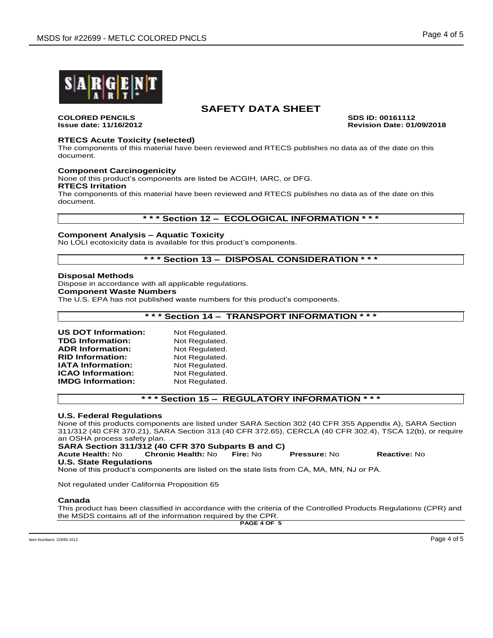

# **SAFETY DATA SHEET**

**COLORED PENCILS SDS ID: 00161112**

**Issue date: 11/16/2012 Revision Date: 01/09/2018**

## **RTECS Acute Toxicity (selected)**

The components of this material have been reviewed and RTECS publishes no data as of the date on this document.

### **Component Carcinogenicity**

None of this product's components are listed be ACGIH, IARC, or DFG.

#### **RTECS Irritation**

The components of this material have been reviewed and RTECS publishes no data as of the date on this document.

## **\* \* \* Section 12 – ECOLOGICAL INFORMATION \* \* \***

### **Component Analysis – Aquatic Toxicity**

No LOLI ecotoxicity data is available for this product's components.

# **\* \* \* Section 13 – DISPOSAL CONSIDERATION \* \* \***

### **Disposal Methods**

Dispose in accordance with all applicable regulations. **Component Waste Numbers** The U.S. EPA has not published waste numbers for this product's components.

**\* \* \* Section 14 – TRANSPORT INFORMATION \* \* \***

| <b>US DOT Information:</b> | Not Regulated. |
|----------------------------|----------------|
| <b>TDG Information:</b>    | Not Regulated. |
| <b>ADR Information:</b>    | Not Regulated. |
| <b>RID Information:</b>    | Not Regulated. |
| <b>IATA Information:</b>   | Not Regulated. |
| <b>ICAO Information:</b>   | Not Regulated. |
| <b>IMDG Information:</b>   | Not Regulated. |

# **\* \* \* Section 15 – REGULATORY INFORMATION \* \* \***

### **U.S. Federal Regulations**

None of this products components are listed under SARA Section 302 (40 CFR 355 Appendix A), SARA Section 311/312 (40 CFR 370.21), SARA Section 313 (40 CFR 372.65), CERCLA (40 CFR 302.4), TSCA 12(b), or require an OSHA process safety plan.

**SARA Section 311/312 (40 CFR 370 Subparts B and C)**

**Acute Health:** No **Chronic Health:** No **Fire:** No **Pressure:** No **Reactive:** No **U.S. State Regulations**

None of this product's components are listed on the state lists from CA, MA, MN, NJ or PA.

Not regulated under California Proposition 65

#### **Canada**

This product has been classified in accordance with the criteria of the Controlled Products Regulations (CPR) and the MSDS contains all of the information required by the CPR.

**PAGE 4 OF 5**